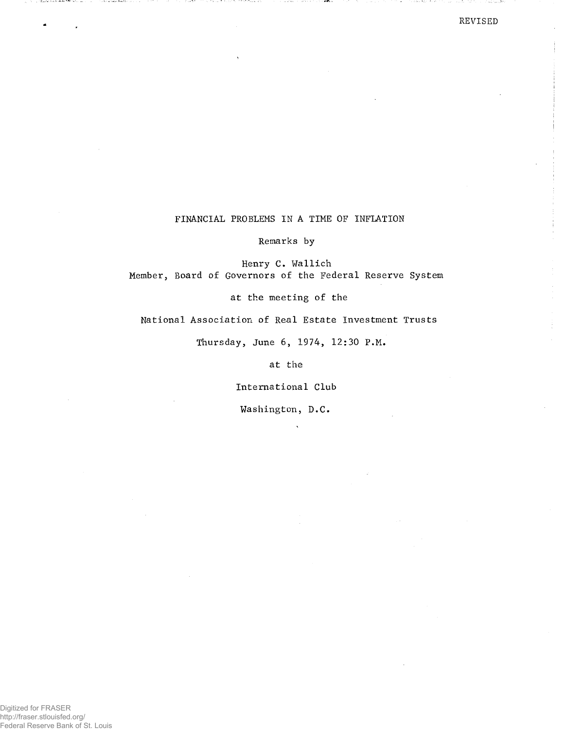## REVISED

an taobhail

计二进数组 法公司

## FINANCIAL PROBLEMS IN A TIME OF INFLATION

Remarks by

Henry c. Wallich Member, Board of Governors of the Federal Reserve System

at the meeting of the

National Association of Real Estate Investment Trusts

Thursday, June 6, 1974, 12:30 P.M.

at the

International Club

Washington, D.C.

i wa kuma wa Mata Tanzania

i che se casa Assilla.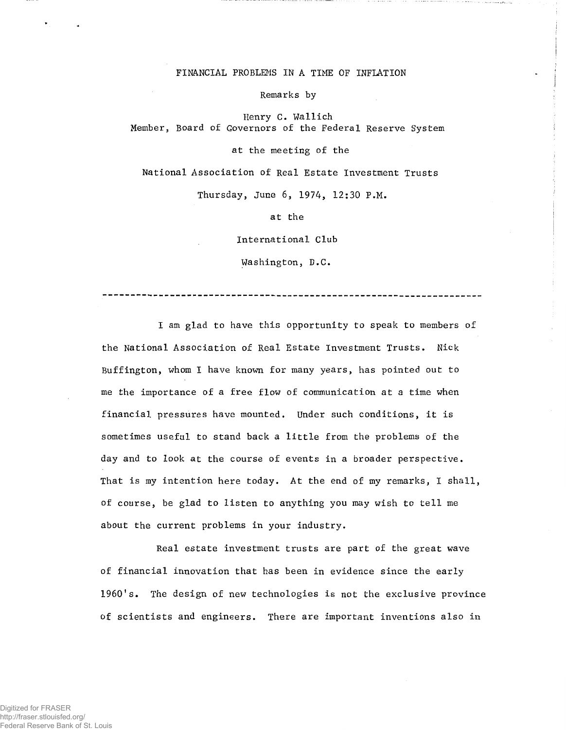## FINANCIAL PROBLEMS IN A TIME OF INFLATION

Remarks by

Henry C. Wallich Member, Board of Governors of the Federal Reserve System

at the meeting of the

National Association of Real Estate Investment Trusts

Thursday, June 6, 1974, 12:30 P.M.

at the

International Club

Washington, D.C.

--------------------------------------------------------------------

I am glad to have this opportunity to speak to members of the National Association of Real Estate Investment Trusts. Nick Buffington, whom I have known for many years, has pointed out to me the importance of a free flow of communication at a time when financial pressures have mounted. Under such conditions, it is sometimes useful to stand back a little from the problems of the day and to look at the course of events in a broader perspective. That is my intention here today. At the end of my remarks, I shall, of course, be glad to listen to anything you may wish to tell me about the current problems in your industry.

Real estate investment trusts are part of the great wave of financial innovation that has been in evidence since the early 1960's. The design of new technologies is not the exclusive province of scientists and engineers. There are important inventions also in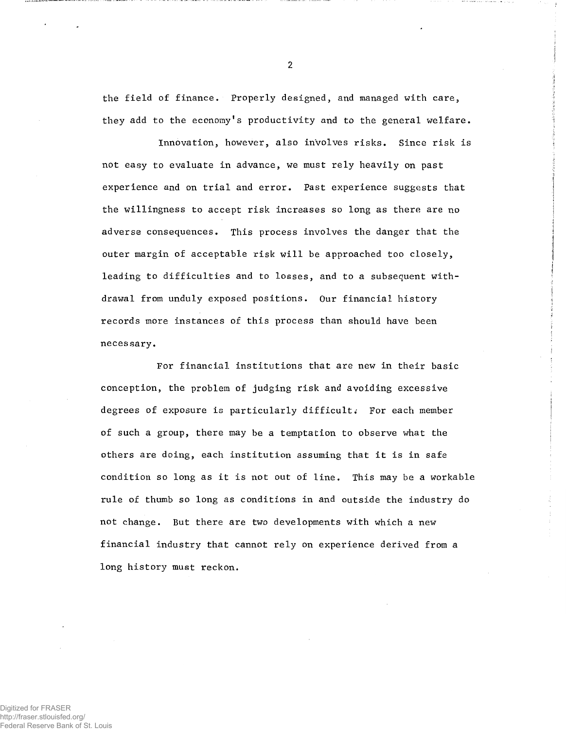the field of finance. Properly designed, and managed with care, they add to the economy's productivity and to the general welfare.

Innovation, however, also involves risks. Since risk is not easy to evaluate in advance, we must rely heavily on past experience and on trial and error. Past experience suggests that the willingness to accept risk increases so long as there are no adverse consequences. This process involves the danger that the outer margin of acceptable risk will be approached too closely, leading to difficulties and to losses, and to a subsequent withdrawal from unduly exposed positions. Our financial history records more instances of this process than should have been necessary.

For financial institutions that are new in their basic conception, the problem of judging risk and avoiding excessive degrees of exposure is particularly difficult. For each member of such a group, there may be a temptation to observe what the others are doing, each institution assuming that it is in safe condition so long as it is not out of line. This may be a workable rule of thumb so long as conditions in and outside the industry do not change. But there are two developments with which a new financial industry that cannot rely on experience derived from a long history must reckon.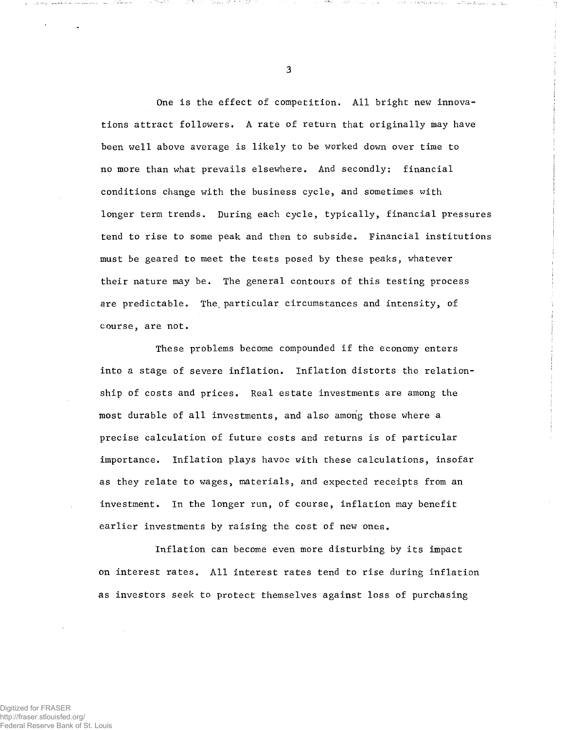One is the effect of competition. All bright new innovations attract followers. A rate of return that originally may have been well above average is likely to be worked down over time to no more than what prevails elsewhere. And secondly: financial conditions change with the business cycle, and sometimes with longer term trends. During each cycle, typically, financial pressures tend to rise to some peak and then to subside. Financial institutions must be geared to meet the tests posed by these peaks, whatever their nature may be. The general contours of this testing process are predictable. The particular circumstances and intensity, of course, are not.

These problems become compounded if the economy enters into a stage of severe inflation. Inflation distorts the relationship of costs and prices. Real estate investments are among the most durable of all investments, and also among those where a precise calculation of future costs and returns is of particular importance. Inflation plays havoc with these calculations, insofar as they relate to wages, materials, and expected receipts from an investment. In the longer run, of course, inflation may benefit earlier investments by raising the cost of new ones.

Inflation can become even more disturbing by its impact on interest rates. All interest rates tend to rise during inflation as investors seek to protect themselves against loss of purchasing

3

ಿಟಾ

' , !

vinari illa titultitave reastas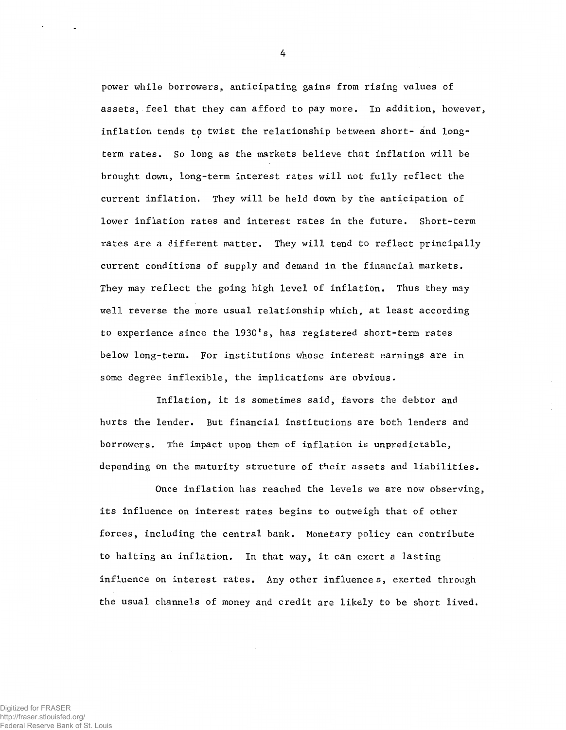power while borrowers, anticipating gains from rising values of assets, feel that they can afford to pay more. In addition, however, inflation tends to twist the relationship between short- and longterm rates. So long as the markets believe that inflation will be brought down, long-term interest rates will not fully reflect the current inflation. They will be held down by the anticipation of lower inflation rates and interest rates in the future. Short-term rates are a different matter. They will tend to reflect principally current conditions of supply and demand in the financial markets. They may reflect the going high level of inflation. Thus they may well reverse the more usual relationship which, at least according to experience since the 1930's, has registered short-term rates below long-term. For institutions whose interest earnings are in some degree inflexible, the implications are obvious.

Inflation, it is sometimes said, favors the debtor and hurts the lender. But financial institutions are both lenders and borrowers. The impact upon them of inflation is unpredictable, depending on the maturity structure of their assets and liabilities.

Once inflation has reached the levels we are now observing, its influence on interest rates begins to outweigh that of other forces, including the central bank. Monetary policy can contribute to halting an inflation. In that way, it can exert a lasting influence on interest rates. Any other influences, exerted through the usual channels of money and credit are likely to be short lived.

Digitized for FRASER http://fraser.stlouisfed.org/ Federal Reserve Bank of St. Louis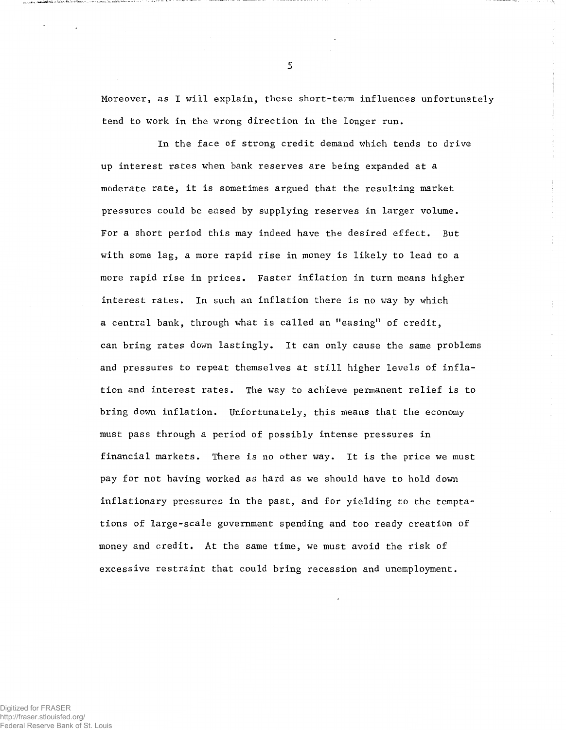Moreover, as I will explain, these short-term influences unfortunately tend to work in the wrong direction in the longer run.

In the face of strong credit demand which tends to drive up interest rates when bank reserves are being expanded at a moderate rate, it is sometimes argued that the resulting market pressures could be eased by supplying reserves in larger volume. For a short period this may indeed have the desired effect. But with some lag, a more rapid rise in money is likely to lead to a more rapid rise in prices. Faster inflation in turn means higher interest rates. In such an inflation there is no way by which a central bank, through what is called an "easing" of credit, can bring rates down lastingly. It can only cause the same problems and pressures to repeat themselves at still higher levels of inflation and interest rates. The way to achieve permanent relief is to bring down inflation. Unfortunately, this means that the economy must pass through a period of possibly intense pressures in financial markets. There is no other way. It is the price we must pay for not having worked as hard as we should have to hold down inflationary pressures in the past, and for yielding to the temptations of large-scale government spending and too ready creation of money and credit. At the same time, we must avoid the risk of excessive restraint that could bring recession and unemployment.

Digitized for FRASER http://fraser.stlouisfed.org/ Federal Reserve Bank of St. Louis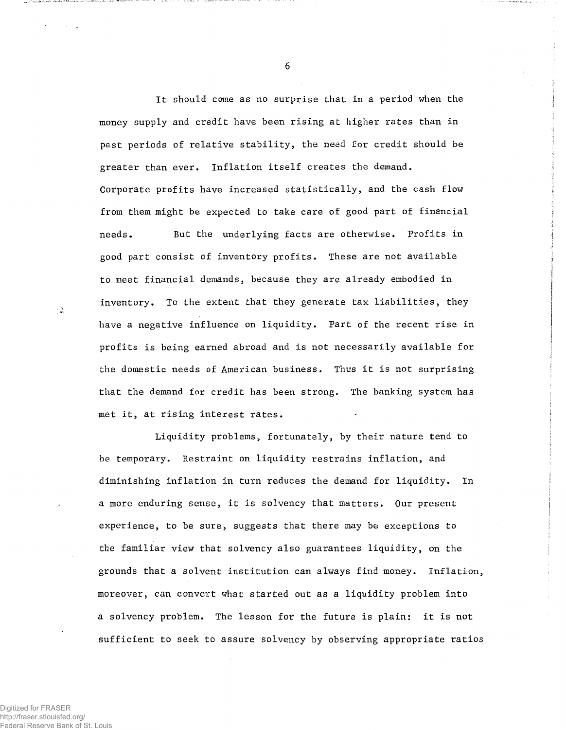It should come as no surprise that in a period when the money supply and credit have been rising at higher rates than in past periods of relative stability, the need for credit should be greater than ever. Inflation itself creates the demand. Corporate profits have increased statistically, and the cash flow from them might be expected to take care of good part of financial needs. But the underlying facts are otherwise. Profits in good part consist of inventory profits. These are not available to meet financial demands, because they are already embodied in inventory. To the extent that they generate tax liabilities, they have a negative influence on liquidity. Part of the recent rise in profits is being earned abroad and is not necessarily available for the domestic needs of American business. Thus it is not surprising that the demand for credit has been strong. The banking system has met it, at rising interest rates.

Liquidity problems, fortunately, by their nature tend to be temporary. Restraint on liquidity restrains inflation, and diminishing inflation in turn reduces the demand for liquidity. In a more enduring sense, it is solvency that matters. Our present experience, to be sure, suggests that there may be exceptions to the familiar view that solvency also guarantees liquidity, on the grounds that a solvent institution can always find money. Inflation, moreover, can convert what started out as a liquidity problem into a solvency problem. The lesson for the future is plain: it is not sufficient to seek to assure solvency by observing appropriate ratios

 $\ddot{\phantom{a}}$ 

 $\sim$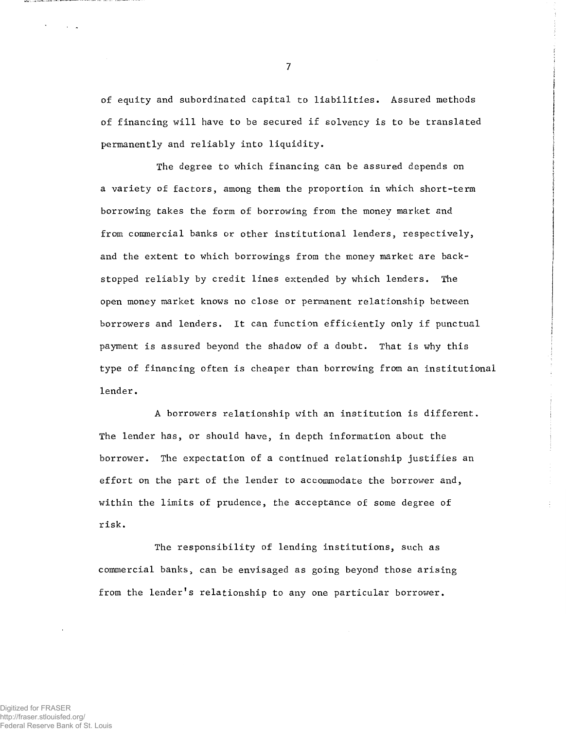of equity and subordinated capital to liabilities. Assured methods of financing will have to be secured if solvency is to be translated permanently and reliably into liquidity.

The degree to which financing can be assured depends on a variety of factors, among them the proportion in which short-term borrowing takes the form of borrowing from the money market and from commercial banks or other institutional lenders, respectively, and the extent to which borrowings from the money market are backs topped reliably by credit lines extended by which lenders. The open money market knows no close or permanent relationship between borrowers and lenders. It can function efficiently only if punctual payment is assured beyond the shadow of a doubt. That is why this type of financing often is cheaper than borrowing from an institutional lender.

A borrowers relationship with an institution is different. The lender has, or should have, in depth information about the borrower. The expectation of a continued relationship justifies an effort on the part of the lender to accommodate the borrower and, within the limits of prudence, the acceptance of some degree of risk.

The responsibility of lending institutions, such as commercial banks, can be envisaged as going beyond those arising from the lender's relationship to any one particular borrower.

7

 $\sim$   $\sim$   $\sim$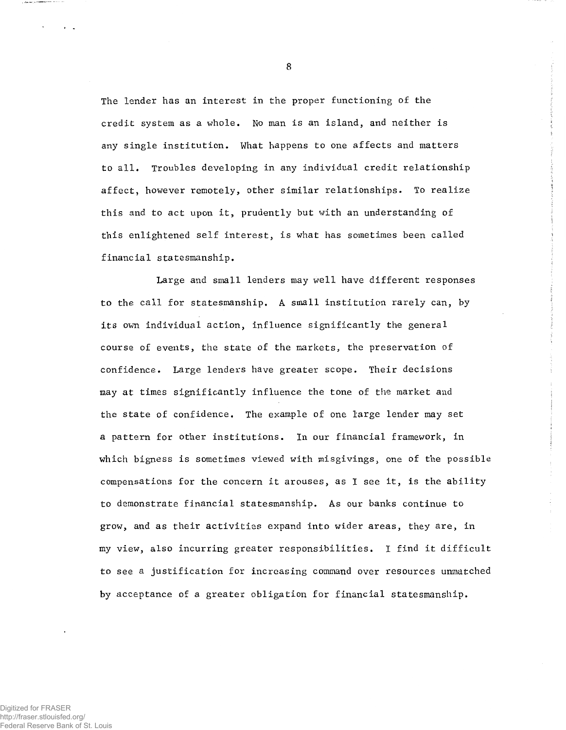The lender has an interest in the proper functioning of the credit system as a whole. No man is an island, and neither is any single institution. What happens to one affects and matters to all. Troubles developing in any individual credit relationship affect, however remotely, other similar relationships. To realize this and to act upon it, prudently but with an understanding of this enlightened self interest, is what has sometimes been called financial statesmanship.

Large and small lenders may well have different responses to the call for statesmanship. A small institution rarely can, by its own individual action, influence significantly the general course of events, the state of the markets, the preservation of confidence. Large lenders have greater scope. Their decisions may at times significantly influence the tone of the market and the state of confidence. The example of one large lender may set a pattern for other institutions. In our financial framework, in which bigness is sometimes viewed with misgivings, one of the possible compensations for the concern it arouses, as I see it, is the ability to demonstrate financial statesmanship. As our banks continue to grow, and as their activities expand into wider areas, they are, in my view, also incurring greater responsibilities. I find it difficult to see a justification for increasing command over resources unmatched by acceptance of a greater obligation for financial statesmanship.

Digitized for FRASER http://fraser.stlouisfed.org/ Federal Reserve Bank of St. Louis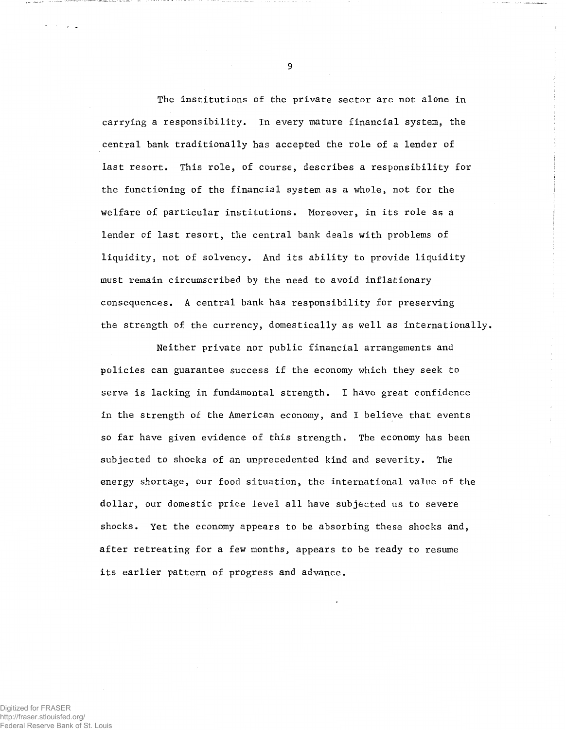The institutions of the private sector are not alone in carrying a responsibility. In every mature financial system, the central bank traditionally has accepted the role of a lender of last resort. This role, of course, describes a responsibility for the functioning of the financial system as a whole, not for the welfare of particular institutions. Moreover, in its role as a lender of last resort, the central bank deals with problems of liquidity, not of solvency. And its ability to provide liquidity must remain circumscribed by the need to avoid inflationary consequences. A central bank has responsibility for preserving the strength of the currency, domestically as well as internationally.

Neither private nor public financial arrangements and policies can guarantee success if the economy which they seek to serve is lacking in fundamental strength. I have great confidence in the strength of the American economy, and I believe that events so far have given evidence of this strength. The economy has been subjected to shocks of an unprecedented kind and severity. The energy shortage, our food situation, the international value of the dollar, our domestic price level all have subjected us to severe shocks. Yet the economy appears to be absorbing these shocks and, after retreating for a few months, appears to be ready to resume its earlier pattern of progress and advance.

Digitized for FRASER http://fraser.stlouisfed.org/ Federal Reserve Bank of St. Louis

ل المرين.<br>مراجع